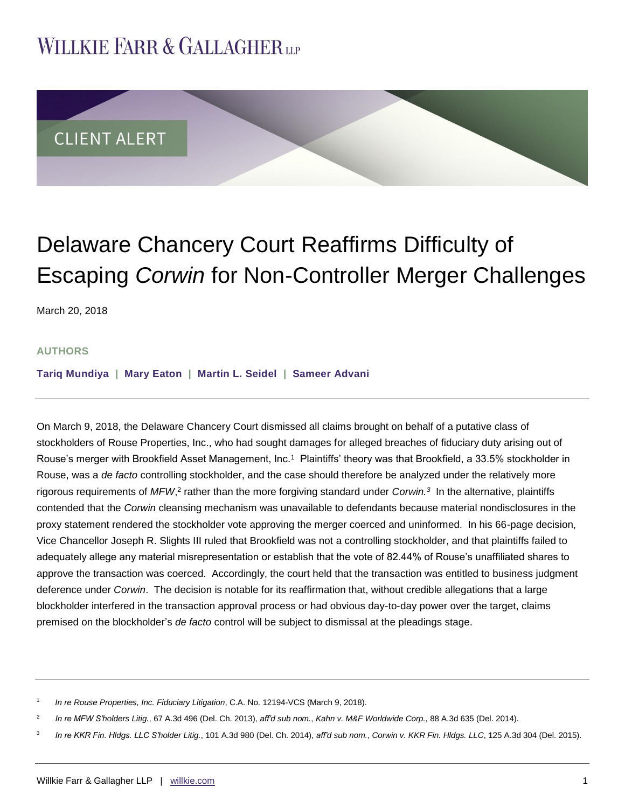# **WILLKIE FARR & GALLAGHERUP**



# Delaware Chancery Court Reaffirms Difficulty of Escaping *Corwin* for Non-Controller Merger Challenges

March 20, 2018

#### **AUTHORS**

**[Tariq Mundiya](http://www.willkie.com/professionals/m/mundiya-tariq) | [Mary Eaton](http://www.willkie.com/professionals/e/eaton-mary) | [Martin L. Seidel](http://www.willkie.com/professionals/s/seidel-martin) | [Sameer Advani](http://www.willkie.com/professionals/a/advani-sameer)**

On March 9, 2018, the Delaware Chancery Court dismissed all claims brought on behalf of a putative class of stockholders of Rouse Properties, Inc., who had sought damages for alleged breaches of fiduciary duty arising out of Rouse's merger with Brookfield Asset Management, Inc.<sup>1</sup> Plaintiffs' theory was that Brookfield, a 33.5% stockholder in Rouse, was a *de facto* controlling stockholder, and the case should therefore be analyzed under the relatively more rigorous requirements of *MFW*,<sup>2</sup> rather than the more forgiving standard under *Corwin.*<sup>3</sup> In the alternative, plaintiffs contended that the *Corwin* cleansing mechanism was unavailable to defendants because material nondisclosures in the proxy statement rendered the stockholder vote approving the merger coerced and uninformed. In his 66-page decision, Vice Chancellor Joseph R. Slights III ruled that Brookfield was not a controlling stockholder, and that plaintiffs failed to adequately allege any material misrepresentation or establish that the vote of 82.44% of Rouse's unaffiliated shares to approve the transaction was coerced. Accordingly, the court held that the transaction was entitled to business judgment deference under *Corwin*. The decision is notable for its reaffirmation that, without credible allegations that a large blockholder interfered in the transaction approval process or had obvious day-to-day power over the target, claims premised on the blockholder's *de facto* control will be subject to dismissal at the pleadings stage.

1 *In re Rouse Properties, Inc. Fiduciary Litigation*, C.A. No. 12194-VCS (March 9, 2018).

2 *In re MFW S'holders Litig.*, 67 A.3d 496 (Del. Ch. 2013), *aff'd sub nom.*, *Kahn v. M&F Worldwide Corp.*, 88 A.3d 635 (Del. 2014).

3 *In re KKR Fin. Hldgs. LLC S'holder Litig.*, 101 A.3d 980 (Del. Ch. 2014), *aff'd sub nom.*, *Corwin v. KKR Fin. Hldgs. LLC*, 125 A.3d 304 (Del. 2015).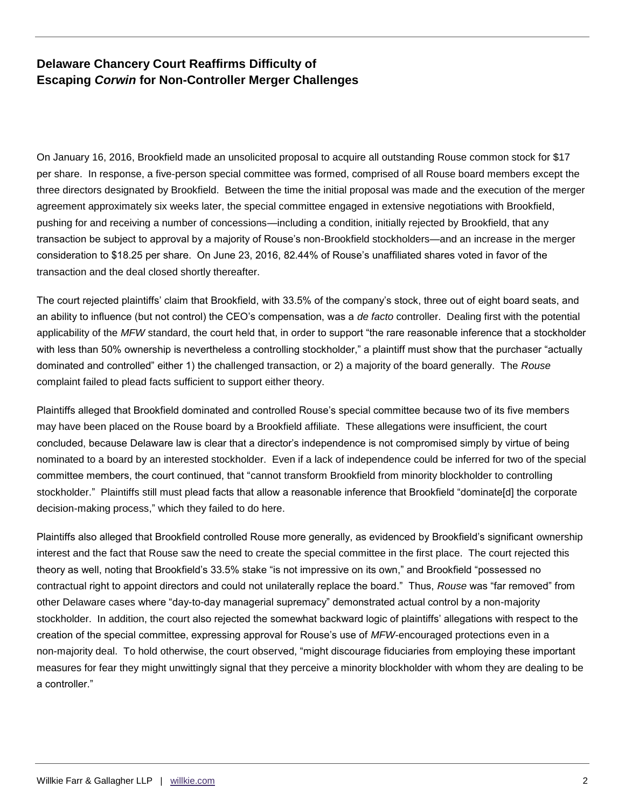### **Delaware Chancery Court Reaffirms Difficulty of Escaping** *Corwin* **for Non-Controller Merger Challenges**

On January 16, 2016, Brookfield made an unsolicited proposal to acquire all outstanding Rouse common stock for \$17 per share. In response, a five-person special committee was formed, comprised of all Rouse board members except the three directors designated by Brookfield. Between the time the initial proposal was made and the execution of the merger agreement approximately six weeks later, the special committee engaged in extensive negotiations with Brookfield, pushing for and receiving a number of concessions—including a condition, initially rejected by Brookfield, that any transaction be subject to approval by a majority of Rouse's non-Brookfield stockholders—and an increase in the merger consideration to \$18.25 per share. On June 23, 2016, 82.44% of Rouse's unaffiliated shares voted in favor of the transaction and the deal closed shortly thereafter.

The court rejected plaintiffs' claim that Brookfield, with 33.5% of the company's stock, three out of eight board seats, and an ability to influence (but not control) the CEO's compensation, was a *de facto* controller. Dealing first with the potential applicability of the *MFW* standard, the court held that, in order to support "the rare reasonable inference that a stockholder with less than 50% ownership is nevertheless a controlling stockholder," a plaintiff must show that the purchaser "actually dominated and controlled" either 1) the challenged transaction, or 2) a majority of the board generally. The *Rouse* complaint failed to plead facts sufficient to support either theory.

Plaintiffs alleged that Brookfield dominated and controlled Rouse's special committee because two of its five members may have been placed on the Rouse board by a Brookfield affiliate. These allegations were insufficient, the court concluded, because Delaware law is clear that a director's independence is not compromised simply by virtue of being nominated to a board by an interested stockholder. Even if a lack of independence could be inferred for two of the special committee members, the court continued, that "cannot transform Brookfield from minority blockholder to controlling stockholder." Plaintiffs still must plead facts that allow a reasonable inference that Brookfield "dominate[d] the corporate decision-making process," which they failed to do here.

Plaintiffs also alleged that Brookfield controlled Rouse more generally, as evidenced by Brookfield's significant ownership interest and the fact that Rouse saw the need to create the special committee in the first place. The court rejected this theory as well, noting that Brookfield's 33.5% stake "is not impressive on its own," and Brookfield "possessed no contractual right to appoint directors and could not unilaterally replace the board." Thus, *Rouse* was "far removed" from other Delaware cases where "day-to-day managerial supremacy" demonstrated actual control by a non-majority stockholder. In addition, the court also rejected the somewhat backward logic of plaintiffs' allegations with respect to the creation of the special committee, expressing approval for Rouse's use of *MFW*-encouraged protections even in a non-majority deal. To hold otherwise, the court observed, "might discourage fiduciaries from employing these important measures for fear they might unwittingly signal that they perceive a minority blockholder with whom they are dealing to be a controller."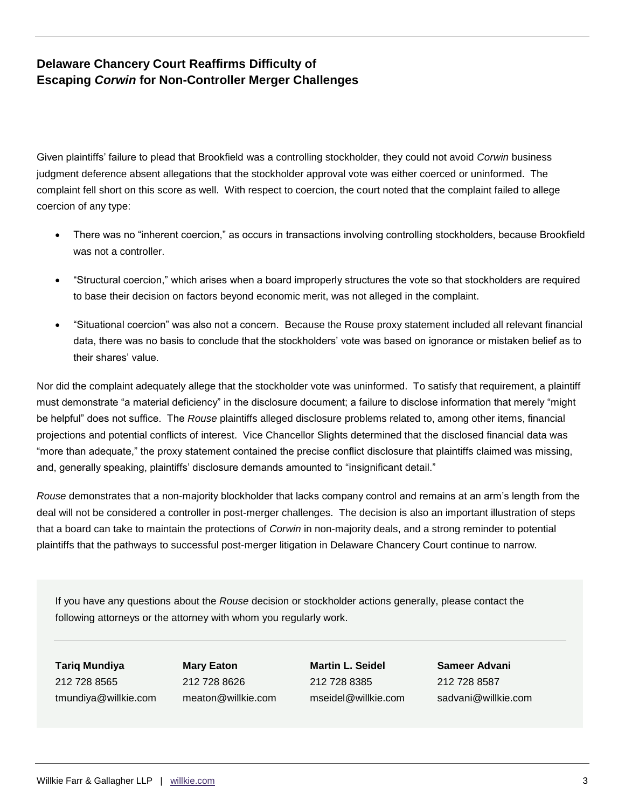## **Delaware Chancery Court Reaffirms Difficulty of Escaping** *Corwin* **for Non-Controller Merger Challenges**

Given plaintiffs' failure to plead that Brookfield was a controlling stockholder, they could not avoid *Corwin* business judgment deference absent allegations that the stockholder approval vote was either coerced or uninformed. The complaint fell short on this score as well. With respect to coercion, the court noted that the complaint failed to allege coercion of any type:

- There was no "inherent coercion," as occurs in transactions involving controlling stockholders, because Brookfield was not a controller.
- "Structural coercion," which arises when a board improperly structures the vote so that stockholders are required to base their decision on factors beyond economic merit, was not alleged in the complaint.
- "Situational coercion" was also not a concern. Because the Rouse proxy statement included all relevant financial data, there was no basis to conclude that the stockholders' vote was based on ignorance or mistaken belief as to their shares' value.

Nor did the complaint adequately allege that the stockholder vote was uninformed. To satisfy that requirement, a plaintiff must demonstrate "a material deficiency" in the disclosure document; a failure to disclose information that merely "might be helpful" does not suffice. The *Rouse* plaintiffs alleged disclosure problems related to, among other items, financial projections and potential conflicts of interest. Vice Chancellor Slights determined that the disclosed financial data was "more than adequate," the proxy statement contained the precise conflict disclosure that plaintiffs claimed was missing, and, generally speaking, plaintiffs' disclosure demands amounted to "insignificant detail."

*Rouse* demonstrates that a non-majority blockholder that lacks company control and remains at an arm's length from the deal will not be considered a controller in post-merger challenges. The decision is also an important illustration of steps that a board can take to maintain the protections of *Corwin* in non-majority deals, and a strong reminder to potential plaintiffs that the pathways to successful post-merger litigation in Delaware Chancery Court continue to narrow.

If you have any questions about the *Rouse* decision or stockholder actions generally, please contact the following attorneys or the attorney with whom you regularly work.

**Tariq Mundiya** 212 728 8565 tmundiya@willkie.com

**Mary Eaton** 212 728 8626 meaton@willkie.com **Martin L. Seidel** 212 728 8385 mseidel@willkie.com

**Sameer Advani** 212 728 8587 sadvani@willkie.com